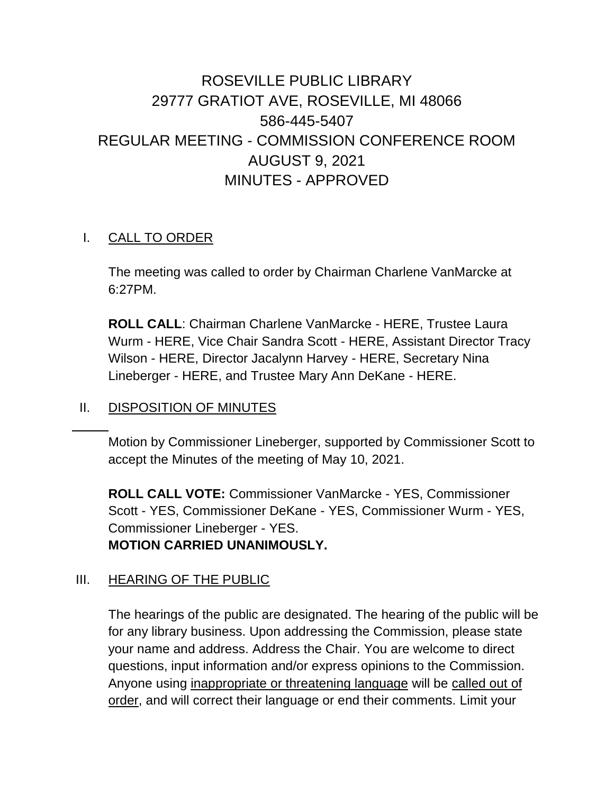# ROSEVILLE PUBLIC LIBRARY 29777 GRATIOT AVE, ROSEVILLE, MI 48066 586-445-5407 REGULAR MEETING - COMMISSION CONFERENCE ROOM AUGUST 9, 2021 MINUTES - APPROVED

#### I. CALL TO ORDER

The meeting was called to order by Chairman Charlene VanMarcke at 6:27PM.

**ROLL CALL**: Chairman Charlene VanMarcke - HERE, Trustee Laura Wurm - HERE, Vice Chair Sandra Scott - HERE, Assistant Director Tracy Wilson - HERE, Director Jacalynn Harvey - HERE, Secretary Nina Lineberger - HERE, and Trustee Mary Ann DeKane - HERE.

#### II. DISPOSITION OF MINUTES

Motion by Commissioner Lineberger, supported by Commissioner Scott to accept the Minutes of the meeting of May 10, 2021.

**ROLL CALL VOTE:** Commissioner VanMarcke - YES, Commissioner Scott - YES, Commissioner DeKane - YES, Commissioner Wurm - YES, Commissioner Lineberger - YES. **MOTION CARRIED UNANIMOUSLY.**

#### III. HEARING OF THE PUBLIC

The hearings of the public are designated. The hearing of the public will be for any library business. Upon addressing the Commission, please state your name and address. Address the Chair. You are welcome to direct questions, input information and/or express opinions to the Commission. Anyone using inappropriate or threatening language will be called out of order, and will correct their language or end their comments. Limit your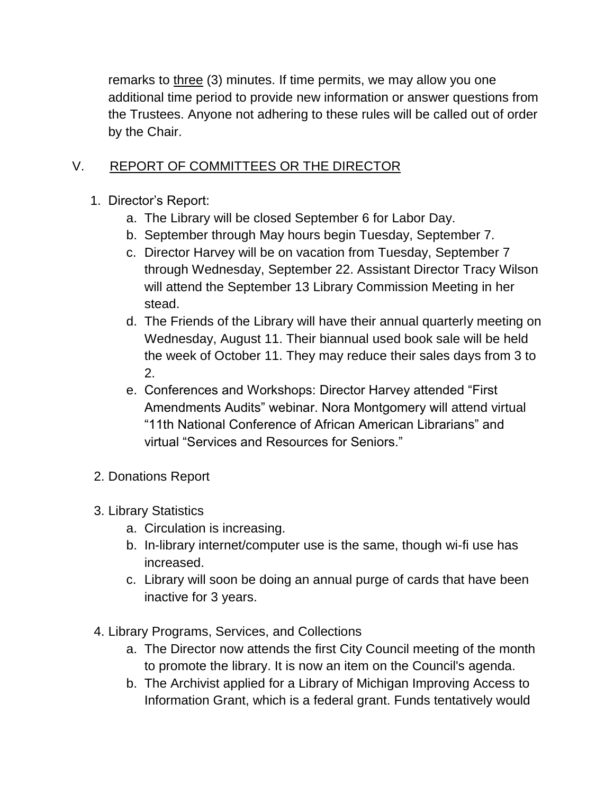remarks to three (3) minutes. If time permits, we may allow you one additional time period to provide new information or answer questions from the Trustees. Anyone not adhering to these rules will be called out of order by the Chair.

# V. REPORT OF COMMITTEES OR THE DIRECTOR

- 1. Director's Report:
	- a. The Library will be closed September 6 for Labor Day.
	- b. September through May hours begin Tuesday, September 7.
	- c. Director Harvey will be on vacation from Tuesday, September 7 through Wednesday, September 22. Assistant Director Tracy Wilson will attend the September 13 Library Commission Meeting in her stead.
	- d. The Friends of the Library will have their annual quarterly meeting on Wednesday, August 11. Their biannual used book sale will be held the week of October 11. They may reduce their sales days from 3 to 2.
	- e. Conferences and Workshops: Director Harvey attended "First Amendments Audits" webinar. Nora Montgomery will attend virtual "11th National Conference of African American Librarians" and virtual "Services and Resources for Seniors."
- 2. Donations Report
- 3. Library Statistics
	- a. Circulation is increasing.
	- b. In-library internet/computer use is the same, though wi-fi use has increased.
	- c. Library will soon be doing an annual purge of cards that have been inactive for 3 years.
- 4. Library Programs, Services, and Collections
	- a. The Director now attends the first City Council meeting of the month to promote the library. It is now an item on the Council's agenda.
	- b. The Archivist applied for a Library of Michigan Improving Access to Information Grant, which is a federal grant. Funds tentatively would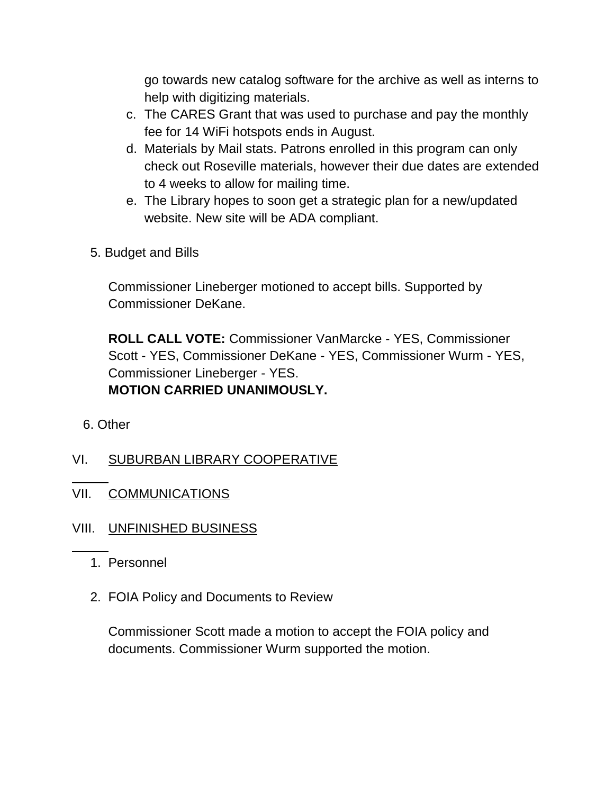go towards new catalog software for the archive as well as interns to help with digitizing materials.

- c. The CARES Grant that was used to purchase and pay the monthly fee for 14 WiFi hotspots ends in August.
- d. Materials by Mail stats. Patrons enrolled in this program can only check out Roseville materials, however their due dates are extended to 4 weeks to allow for mailing time.
- e. The Library hopes to soon get a strategic plan for a new/updated website. New site will be ADA compliant.
- 5. Budget and Bills

Commissioner Lineberger motioned to accept bills. Supported by Commissioner DeKane.

**ROLL CALL VOTE:** Commissioner VanMarcke - YES, Commissioner Scott - YES, Commissioner DeKane - YES, Commissioner Wurm - YES, Commissioner Lineberger - YES. **MOTION CARRIED UNANIMOUSLY.**

- 6. Other
- VI. SUBURBAN LIBRARY COOPERATIVE
- VII. COMMUNICATIONS
- VIII. UNFINISHED BUSINESS
	- 1. Personnel
	- 2. FOIA Policy and Documents to Review

Commissioner Scott made a motion to accept the FOIA policy and documents. Commissioner Wurm supported the motion.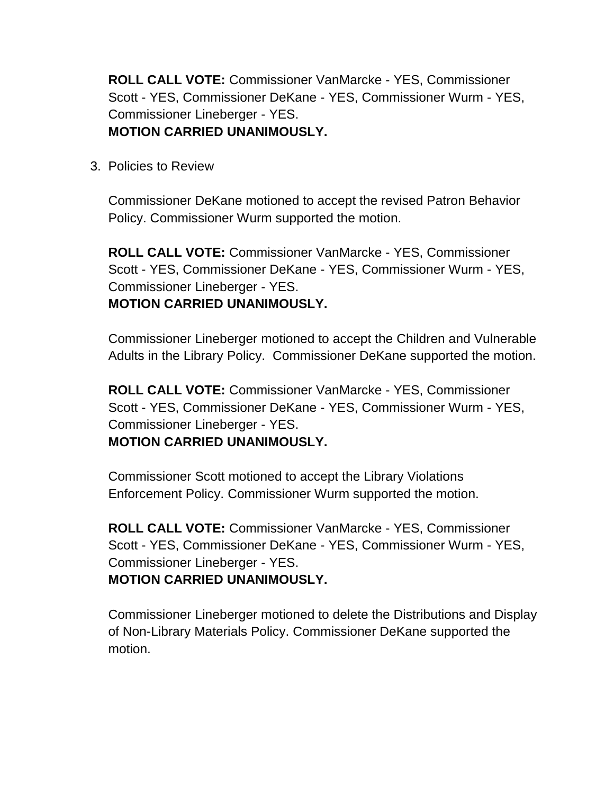**ROLL CALL VOTE:** Commissioner VanMarcke - YES, Commissioner Scott - YES, Commissioner DeKane - YES, Commissioner Wurm - YES, Commissioner Lineberger - YES. **MOTION CARRIED UNANIMOUSLY.**

3. Policies to Review

Commissioner DeKane motioned to accept the revised Patron Behavior Policy. Commissioner Wurm supported the motion.

**ROLL CALL VOTE:** Commissioner VanMarcke - YES, Commissioner Scott - YES, Commissioner DeKane - YES, Commissioner Wurm - YES, Commissioner Lineberger - YES.

## **MOTION CARRIED UNANIMOUSLY.**

Commissioner Lineberger motioned to accept the Children and Vulnerable Adults in the Library Policy. Commissioner DeKane supported the motion.

**ROLL CALL VOTE:** Commissioner VanMarcke - YES, Commissioner Scott - YES, Commissioner DeKane - YES, Commissioner Wurm - YES, Commissioner Lineberger - YES.

## **MOTION CARRIED UNANIMOUSLY.**

Commissioner Scott motioned to accept the Library Violations Enforcement Policy. Commissioner Wurm supported the motion.

**ROLL CALL VOTE:** Commissioner VanMarcke - YES, Commissioner Scott - YES, Commissioner DeKane - YES, Commissioner Wurm - YES, Commissioner Lineberger - YES.

## **MOTION CARRIED UNANIMOUSLY.**

Commissioner Lineberger motioned to delete the Distributions and Display of Non-Library Materials Policy. Commissioner DeKane supported the motion.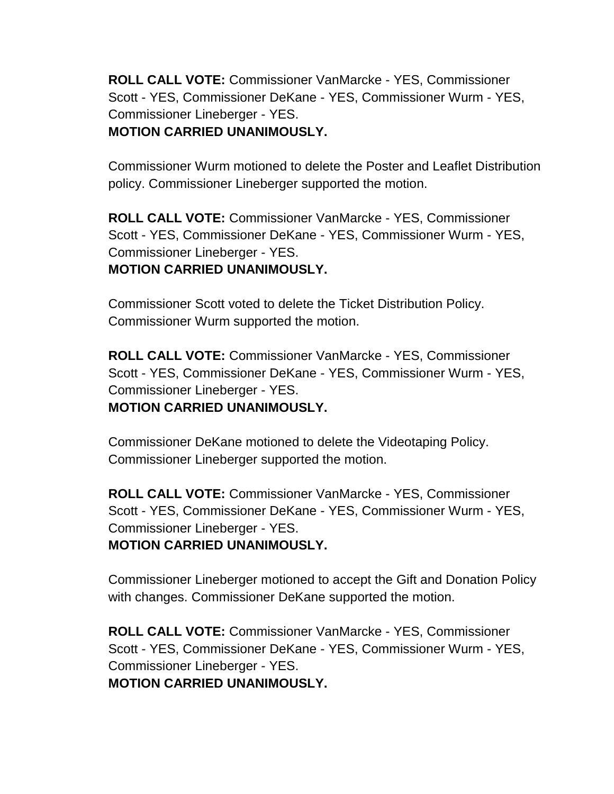**ROLL CALL VOTE:** Commissioner VanMarcke - YES, Commissioner Scott - YES, Commissioner DeKane - YES, Commissioner Wurm - YES, Commissioner Lineberger - YES. **MOTION CARRIED UNANIMOUSLY.**

Commissioner Wurm motioned to delete the Poster and Leaflet Distribution policy. Commissioner Lineberger supported the motion.

**ROLL CALL VOTE:** Commissioner VanMarcke - YES, Commissioner Scott - YES, Commissioner DeKane - YES, Commissioner Wurm - YES, Commissioner Lineberger - YES. **MOTION CARRIED UNANIMOUSLY.**

Commissioner Scott voted to delete the Ticket Distribution Policy. Commissioner Wurm supported the motion.

**ROLL CALL VOTE:** Commissioner VanMarcke - YES, Commissioner Scott - YES, Commissioner DeKane - YES, Commissioner Wurm - YES, Commissioner Lineberger - YES. **MOTION CARRIED UNANIMOUSLY.**

Commissioner DeKane motioned to delete the Videotaping Policy. Commissioner Lineberger supported the motion.

**ROLL CALL VOTE:** Commissioner VanMarcke - YES, Commissioner Scott - YES, Commissioner DeKane - YES, Commissioner Wurm - YES, Commissioner Lineberger - YES. **MOTION CARRIED UNANIMOUSLY.**

Commissioner Lineberger motioned to accept the Gift and Donation Policy with changes. Commissioner DeKane supported the motion.

**ROLL CALL VOTE:** Commissioner VanMarcke - YES, Commissioner Scott - YES, Commissioner DeKane - YES, Commissioner Wurm - YES, Commissioner Lineberger - YES. **MOTION CARRIED UNANIMOUSLY.**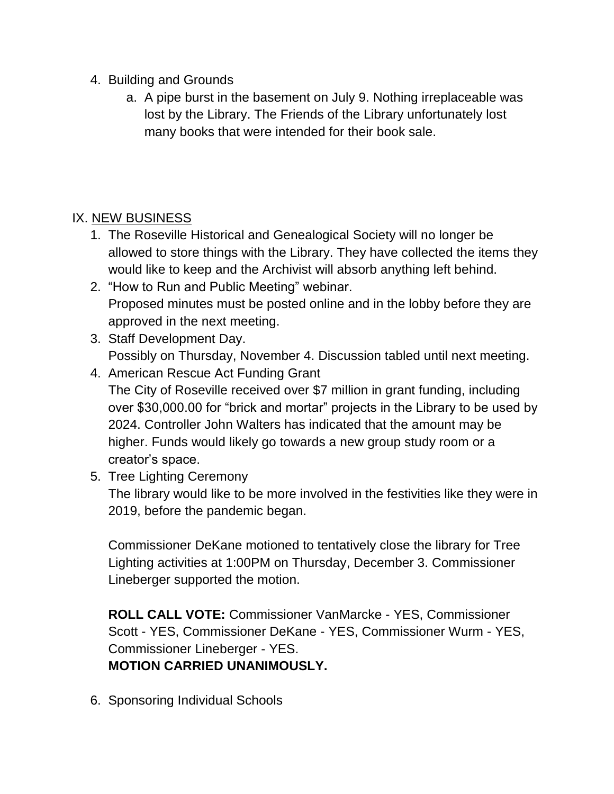- 4. Building and Grounds
	- a. A pipe burst in the basement on July 9. Nothing irreplaceable was lost by the Library. The Friends of the Library unfortunately lost many books that were intended for their book sale.

# IX. NEW BUSINESS

- 1. The Roseville Historical and Genealogical Society will no longer be allowed to store things with the Library. They have collected the items they would like to keep and the Archivist will absorb anything left behind.
- 2. "How to Run and Public Meeting" webinar. Proposed minutes must be posted online and in the lobby before they are approved in the next meeting.
- 3. Staff Development Day. Possibly on Thursday, November 4. Discussion tabled until next meeting.
- 4. American Rescue Act Funding Grant The City of Roseville received over \$7 million in grant funding, including over \$30,000.00 for "brick and mortar" projects in the Library to be used by 2024. Controller John Walters has indicated that the amount may be higher. Funds would likely go towards a new group study room or a creator's space.
- 5. Tree Lighting Ceremony

The library would like to be more involved in the festivities like they were in 2019, before the pandemic began.

Commissioner DeKane motioned to tentatively close the library for Tree Lighting activities at 1:00PM on Thursday, December 3. Commissioner Lineberger supported the motion.

**ROLL CALL VOTE:** Commissioner VanMarcke - YES, Commissioner Scott - YES, Commissioner DeKane - YES, Commissioner Wurm - YES, Commissioner Lineberger - YES. **MOTION CARRIED UNANIMOUSLY.**

6. Sponsoring Individual Schools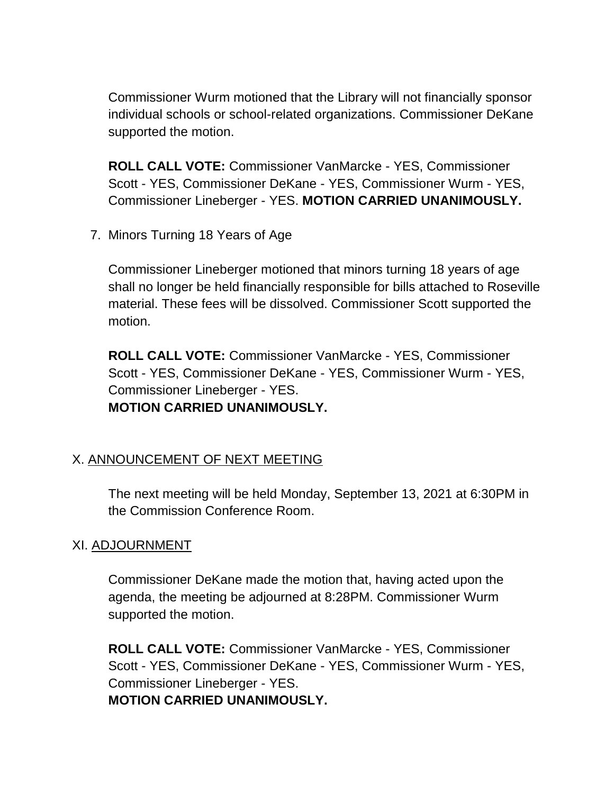Commissioner Wurm motioned that the Library will not financially sponsor individual schools or school-related organizations. Commissioner DeKane supported the motion.

**ROLL CALL VOTE:** Commissioner VanMarcke - YES, Commissioner Scott - YES, Commissioner DeKane - YES, Commissioner Wurm - YES, Commissioner Lineberger - YES. **MOTION CARRIED UNANIMOUSLY.**

7. Minors Turning 18 Years of Age

Commissioner Lineberger motioned that minors turning 18 years of age shall no longer be held financially responsible for bills attached to Roseville material. These fees will be dissolved. Commissioner Scott supported the motion.

**ROLL CALL VOTE:** Commissioner VanMarcke - YES, Commissioner Scott - YES, Commissioner DeKane - YES, Commissioner Wurm - YES, Commissioner Lineberger - YES. **MOTION CARRIED UNANIMOUSLY.**

## X. ANNOUNCEMENT OF NEXT MEETING

The next meeting will be held Monday, September 13, 2021 at 6:30PM in the Commission Conference Room.

#### XI. ADJOURNMENT

Commissioner DeKane made the motion that, having acted upon the agenda, the meeting be adjourned at 8:28PM. Commissioner Wurm supported the motion.

**ROLL CALL VOTE:** Commissioner VanMarcke - YES, Commissioner Scott - YES, Commissioner DeKane - YES, Commissioner Wurm - YES, Commissioner Lineberger - YES. **MOTION CARRIED UNANIMOUSLY.**